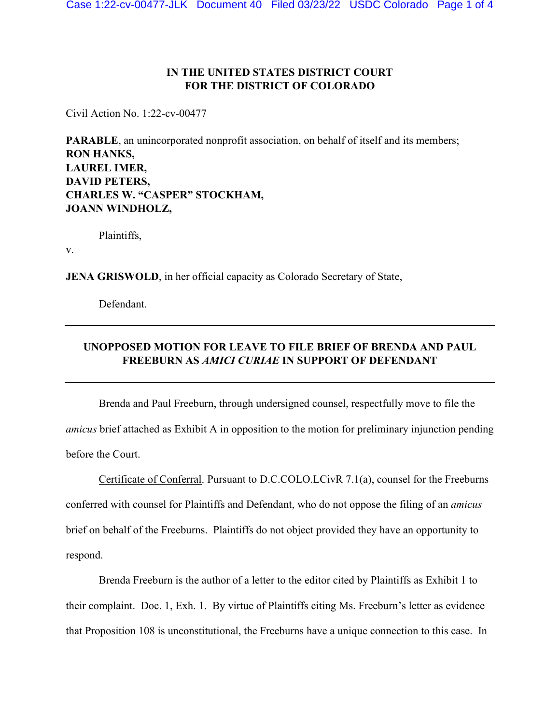### **IN THE UNITED STATES DISTRICT COURT FOR THE DISTRICT OF COLORADO**

Civil Action No. 1:22-cv-00477

**PARABLE**, an unincorporated nonprofit association, on behalf of itself and its members; **RON HANKS, LAUREL IMER, DAVID PETERS, CHARLES W. "CASPER" STOCKHAM, JOANN WINDHOLZ,**

Plaintiffs,

v.

**JENA GRISWOLD**, in her official capacity as Colorado Secretary of State,

Defendant.

## **UNOPPOSED MOTION FOR LEAVE TO FILE BRIEF OF BRENDA AND PAUL FREEBURN AS** *AMICI CURIAE* **IN SUPPORT OF DEFENDANT**

Brenda and Paul Freeburn, through undersigned counsel, respectfully move to file the *amicus* brief attached as Exhibit A in opposition to the motion for preliminary injunction pending before the Court.

Certificate of Conferral. Pursuant to D.C.COLO.LCivR 7.1(a), counsel for the Freeburns conferred with counsel for Plaintiffs and Defendant, who do not oppose the filing of an *amicus* brief on behalf of the Freeburns. Plaintiffs do not object provided they have an opportunity to respond.

Brenda Freeburn is the author of a letter to the editor cited by Plaintiffs as Exhibit 1 to their complaint. Doc. 1, Exh. 1. By virtue of Plaintiffs citing Ms. Freeburn's letter as evidence that Proposition 108 is unconstitutional, the Freeburns have a unique connection to this case. In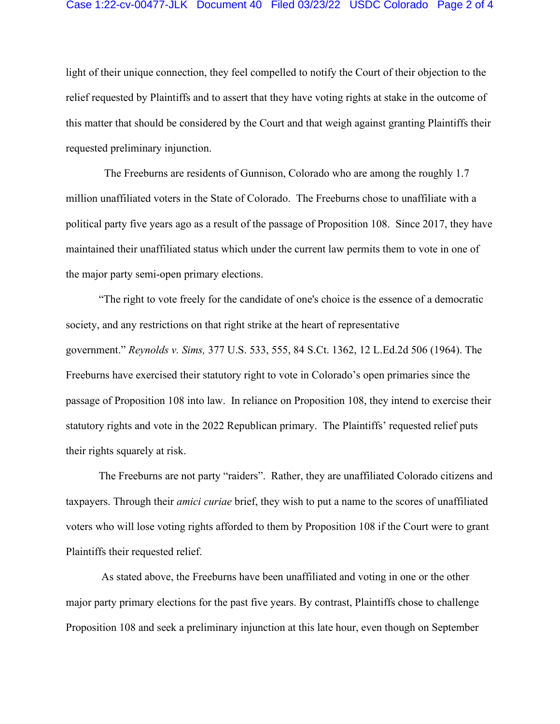#### Case 1:22-cv-00477-JLK Document 40 Filed 03/23/22 USDC Colorado Page 2 of 4

light of their unique connection, they feel compelled to notify the Court of their objection to the relief requested by Plaintiffs and to assert that they have voting rights at stake in the outcome of this matter that should be considered by the Court and that weigh against granting Plaintiffs their requested preliminary injunction.

 The Freeburns are residents of Gunnison, Colorado who are among the roughly 1.7 million unaffiliated voters in the State of Colorado. The Freeburns chose to unaffiliate with a political party five years ago as a result of the passage of Proposition 108. Since 2017, they have maintained their unaffiliated status which under the current law permits them to vote in one of the major party semi-open primary elections.

"The right to vote freely for the candidate of one's choice is the essence of a democratic society, and any restrictions on that right strike at the heart of representative government." *Reynolds v. Sims,* [377 U.S. 533, 555, 84 S.Ct. 1362, 12 L.Ed.2d 506 \(1964\).](https://1.next.westlaw.com/Link/Document/FullText?findType=Y&serNum=1964124843&pubNum=0000708&originatingDoc=I09ba394e5f9511e0af6af9916f973d19&refType=RP&originationContext=document&transitionType=DocumentItem&ppcid=5e769c8c4374492eacf0d7166a4b3f02&contextData=(sc.Keycite)) The Freeburns have exercised their statutory right to vote in Colorado's open primaries since the passage of Proposition 108 into law. In reliance on Proposition 108, they intend to exercise their statutory rights and vote in the 2022 Republican primary. The Plaintiffs' requested relief puts their rights squarely at risk.

The Freeburns are not party "raiders". Rather, they are unaffiliated Colorado citizens and taxpayers. Through their *amici curiae* brief, they wish to put a name to the scores of unaffiliated voters who will lose voting rights afforded to them by Proposition 108 if the Court were to grant Plaintiffs their requested relief.

 As stated above, the Freeburns have been unaffiliated and voting in one or the other major party primary elections for the past five years. By contrast, Plaintiffs chose to challenge Proposition 108 and seek a preliminary injunction at this late hour, even though on September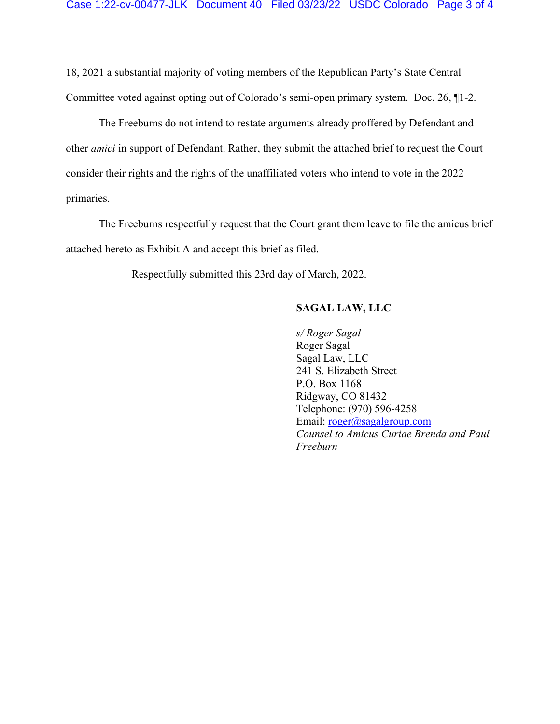18, 2021 a substantial majority of voting members of the Republican Party's State Central Committee voted against opting out of Colorado's semi-open primary system. Doc. 26, ¶1-2.

The Freeburns do not intend to restate arguments already proffered by Defendant and other *amici* in support of Defendant. Rather, they submit the attached brief to request the Court consider their rights and the rights of the unaffiliated voters who intend to vote in the 2022 primaries.

 The Freeburns respectfully request that the Court grant them leave to file the amicus brief attached hereto as Exhibit A and accept this brief as filed.

Respectfully submitted this 23rd day of March, 2022.

### **SAGAL LAW, LLC**

*s/ Roger Sagal*  Roger Sagal Sagal Law, LLC 241 S. Elizabeth Street P.O. Box 1168 Ridgway, CO 81432 Telephone: (970) 596-4258 Email: [roger@sagalgroup.com](mailto:roger@sagalgroup.com) *Counsel to Amicus Curiae Brenda and Paul Freeburn*